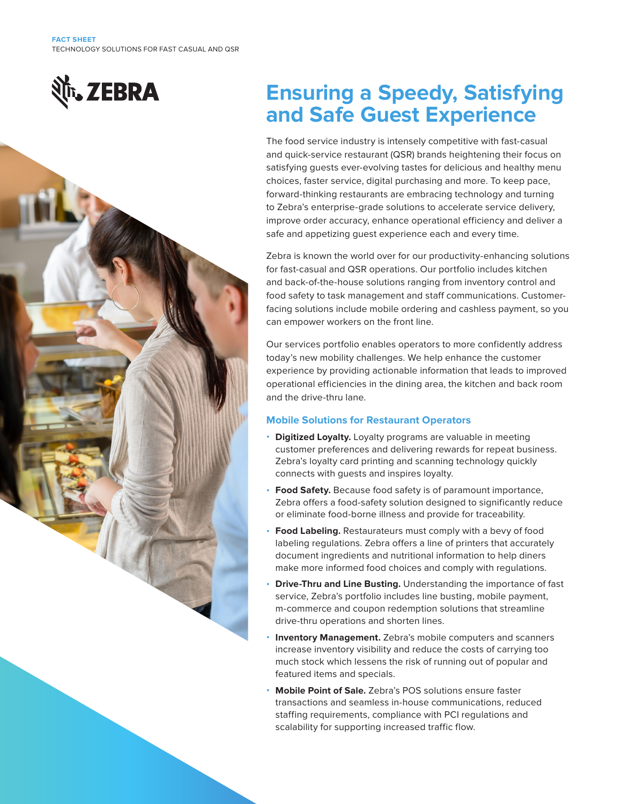



# **Ensuring a Speedy, Satisfying and Safe Guest Experience**

The food service industry is intensely competitive with fast-casual and quick-service restaurant (QSR) brands heightening their focus on satisfying guests ever-evolving tastes for delicious and healthy menu choices, faster service, digital purchasing and more. To keep pace, forward-thinking restaurants are embracing technology and turning to Zebra's enterprise-grade solutions to accelerate service delivery, improve order accuracy, enhance operational efficiency and deliver a safe and appetizing guest experience each and every time.

Zebra is known the world over for our productivity-enhancing solutions for fast-casual and QSR operations. Our portfolio includes kitchen and back-of-the-house solutions ranging from inventory control and food safety to task management and staff communications. Customerfacing solutions include mobile ordering and cashless payment, so you can empower workers on the front line.

Our services portfolio enables operators to more confidently address today's new mobility challenges. We help enhance the customer experience by providing actionable information that leads to improved operational efficiencies in the dining area, the kitchen and back room and the drive-thru lane.

## **Mobile Solutions for Restaurant Operators**

- **Digitized Loyalty.** Loyalty programs are valuable in meeting customer preferences and delivering rewards for repeat business. Zebra's loyalty card printing and scanning technology quickly connects with guests and inspires loyalty.
- **Food Safety.** Because food safety is of paramount importance, Zebra offers a food-safety solution designed to significantly reduce or eliminate food-borne illness and provide for traceability.
- **Food Labeling.** Restaurateurs must comply with a bevy of food labeling regulations. Zebra offers a line of printers that accurately document ingredients and nutritional information to help diners make more informed food choices and comply with regulations.
- **Drive-Thru and Line Busting.** Understanding the importance of fast service, Zebra's portfolio includes line busting, mobile payment, m-commerce and coupon redemption solutions that streamline drive-thru operations and shorten lines.
- **Inventory Management.** Zebra's mobile computers and scanners increase inventory visibility and reduce the costs of carrying too much stock which lessens the risk of running out of popular and featured items and specials.
- **Mobile Point of Sale.** Zebra's POS solutions ensure faster transactions and seamless in-house communications, reduced staffing requirements, compliance with PCI regulations and scalability for supporting increased traffic flow.